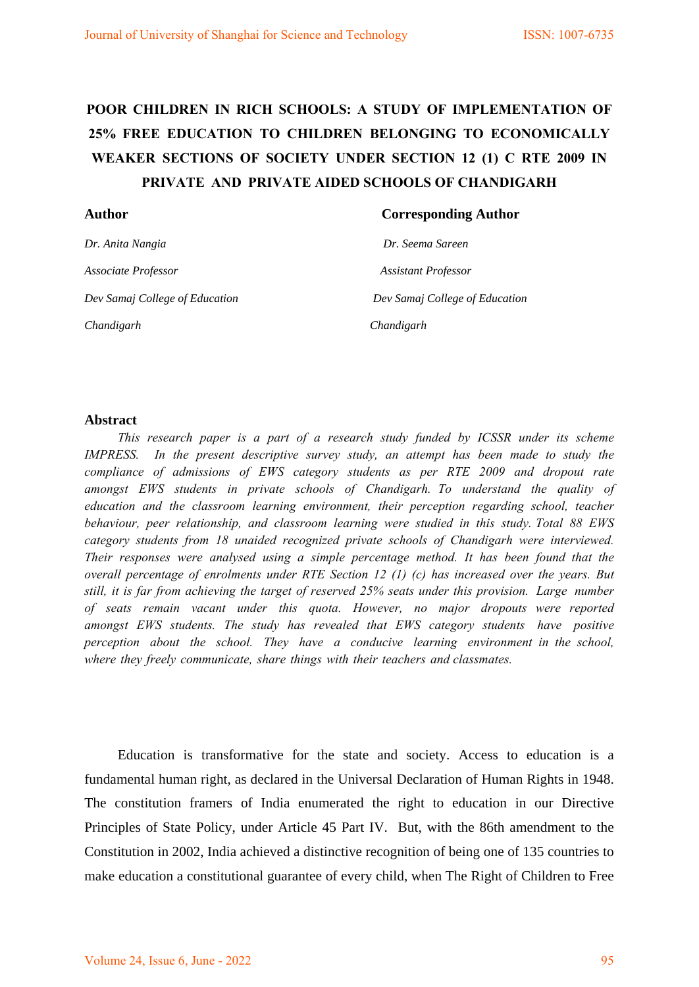# **POOR CHILDREN IN RICH SCHOOLS: A STUDY OF IMPLEMENTATION OF 25% FREE EDUCATION TO CHILDREN BELONGING TO ECONOMICALLY WEAKER SECTIONS OF SOCIETY UNDER SECTION 12 (1) C RTE 2009 IN PRIVATE AND PRIVATE AIDED SCHOOLS OF CHANDIGARH**

| <b>Author</b>                  | <b>Corresponding Author</b>    |
|--------------------------------|--------------------------------|
| Dr. Anita Nangia               | Dr. Seema Sareen               |
| Associate Professor            | <b>Assistant Professor</b>     |
| Dev Samaj College of Education | Dev Samaj College of Education |
| Chandigarh                     | Chandigarh                     |

#### **Abstract**

*This research paper is a part of a research study funded by ICSSR under its scheme IMPRESS.* In the present descriptive survey study, an attempt has been made to study the *compliance of admissions of EWS category students as per RTE 2009 and dropout rate amongst EWS students in private schools of Chandigarh. To understand the quality of education and the classroom learning environment, their perception regarding school, teacher behaviour, peer relationship, and classroom learning were studied in this study. Total 88 EWS category students from 18 unaided recognized private schools of Chandigarh were interviewed. Their responses were analysed using a simple percentage method. It has been found that the overall percentage of enrolments under RTE Section 12 (1) (c) has increased over the years. But still, it is far from achieving the target of reserved 25% seats under this provision. Large number of seats remain vacant under this quota. However, no major dropouts were reported amongst EWS students. The study has revealed that EWS category students have positive perception about the school. They have a conducive learning environment in the school, where they freely communicate, share things with their teachers and classmates.* 

Education is transformative for the state and society. Access to education is a fundamental human right, as declared in the Universal Declaration of Human Rights in 1948. The constitution framers of India enumerated the right to education in our Directive Principles of State Policy, under Article 45 Part IV. But, with the 86th amendment to the Constitution in 2002, India achieved a distinctive recognition of being one of 135 countries to make [education a constitutional guarantee](https://en.wikipedia.org/wiki/Right_to_education) of every child, when The Right of Children to Free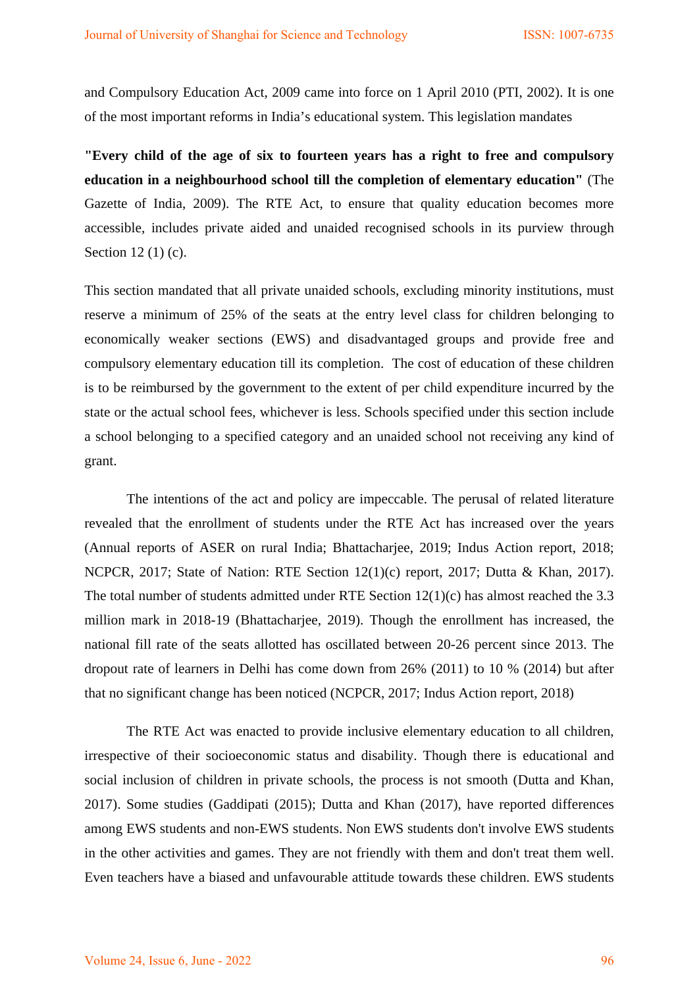and Compulsory Education Act, 2009 came into force on 1 April 2010 (PTI, 2002). It is one of the most important reforms in India's educational system. This legislation mandates

**"Every child of the age of six to fourteen years has a right to free and compulsory education in a neighbourhood school till the completion of elementary education"** (The Gazette of India, 2009). The RTE Act, to ensure that quality education becomes more accessible, includes private aided and unaided recognised schools in its purview through Section 12 (1) (c).

This section mandated that all private unaided schools, excluding minority institutions, must reserve a minimum of 25% of the seats at the entry level class for children belonging to economically weaker sections (EWS) and disadvantaged groups and provide free and compulsory elementary education till its completion. The cost of education of these children is to be reimbursed by the government to the extent of per child expenditure incurred by the state or the actual school fees, whichever is less. Schools specified under this section include a school belonging to a specified category and an unaided school not receiving any kind of grant.

The intentions of the act and policy are impeccable. The perusal of related literature revealed that the enrollment of students under the RTE Act has increased over the years (Annual reports of ASER on rural India; Bhattacharjee, 2019; Indus Action report, 2018; NCPCR, 2017; State of Nation: RTE Section 12(1)(c) report, 2017; Dutta & Khan, 2017). The total number of students admitted under RTE Section 12(1)(c) has almost reached the 3.3 million mark in 2018-19 (Bhattacharjee, 2019). Though the enrollment has increased, the national fill rate of the seats allotted has oscillated between 20-26 percent since 2013. The dropout rate of learners in Delhi has come down from 26% (2011) to 10 % (2014) but after that no significant change has been noticed (NCPCR, 2017; Indus Action report, 2018)

The RTE Act was enacted to provide inclusive elementary education to all children, irrespective of their socioeconomic status and disability. Though there is educational and social inclusion of children in private schools, the process is not smooth (Dutta and Khan, 2017). Some studies (Gaddipati (2015); Dutta and Khan (2017), have reported differences among EWS students and non-EWS students. Non EWS students don't involve EWS students in the other activities and games. They are not friendly with them and don't treat them well. Even teachers have a biased and unfavourable attitude towards these children. EWS students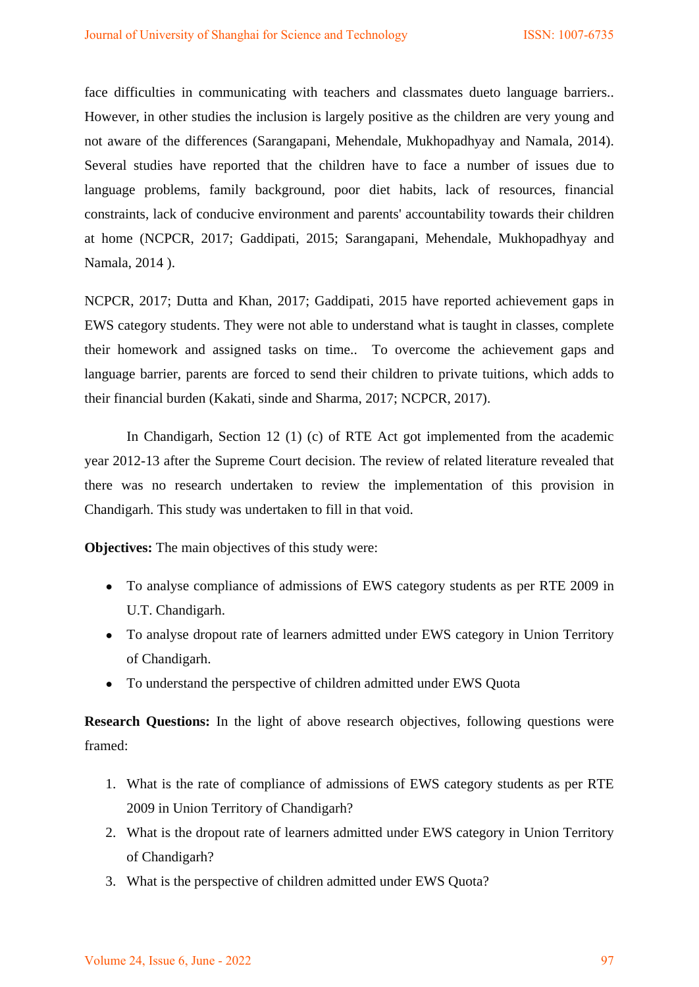face difficulties in communicating with teachers and classmates dueto language barriers.. However, in other studies the inclusion is largely positive as the children are very young and not aware of the differences (Sarangapani, Mehendale, Mukhopadhyay and Namala, 2014). Several studies have reported that the children have to face a number of issues due to language problems, family background, poor diet habits, lack of resources, financial constraints, lack of conducive environment and parents' accountability towards their children at home (NCPCR, 2017; Gaddipati, 2015; Sarangapani, Mehendale, Mukhopadhyay and Namala, 2014 ).

NCPCR, 2017; Dutta and Khan, 2017; Gaddipati, 2015 have reported achievement gaps in EWS category students. They were not able to understand what is taught in classes, complete their homework and assigned tasks on time.. To overcome the achievement gaps and language barrier, parents are forced to send their children to private tuitions, which adds to their financial burden (Kakati, sinde and Sharma, 2017; NCPCR, 2017).

 In Chandigarh, Section 12 (1) (c) of RTE Act got implemented from the academic year 2012-13 after the Supreme Court decision. The review of related literature revealed that there was no research undertaken to review the implementation of this provision in Chandigarh. This study was undertaken to fill in that void.

**Objectives:** The main objectives of this study were:

- To analyse compliance of admissions of EWS category students as per RTE 2009 in U.T. Chandigarh.
- To analyse dropout rate of learners admitted under EWS category in Union Territory of Chandigarh.
- To understand the perspective of children admitted under EWS Quota

**Research Questions:** In the light of above research objectives, following questions were framed:

- 1. What is the rate of compliance of admissions of EWS category students as per RTE 2009 in Union Territory of Chandigarh?
- 2. What is the dropout rate of learners admitted under EWS category in Union Territory of Chandigarh?
- 3. What is the perspective of children admitted under EWS Quota?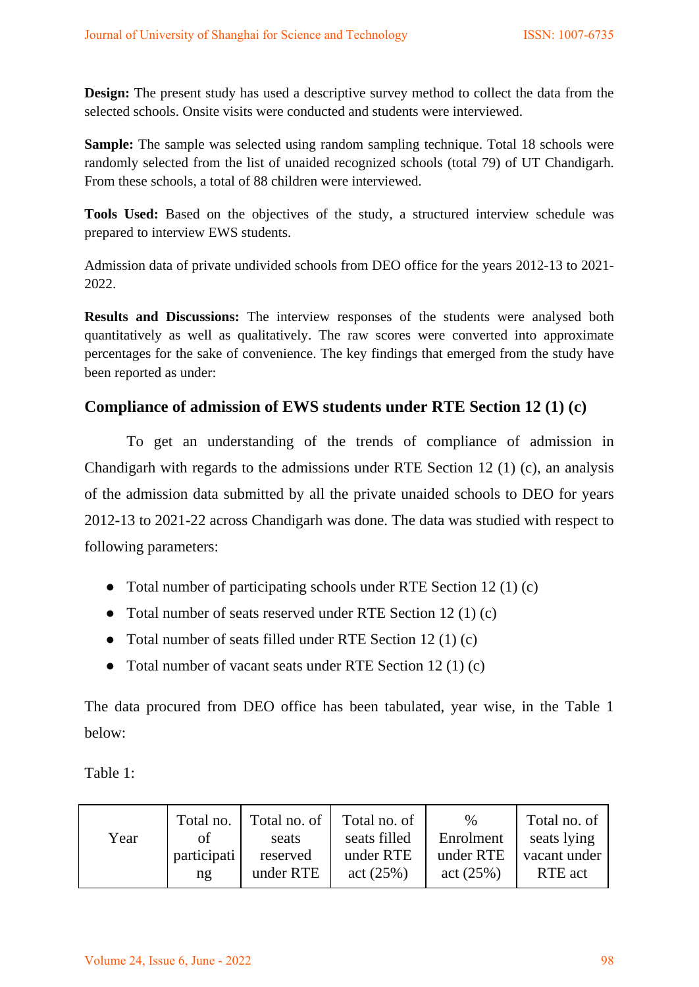**Design:** The present study has used a descriptive survey method to collect the data from the selected schools. Onsite visits were conducted and students were interviewed.

**Sample:** The sample was selected using random sampling technique. Total 18 schools were randomly selected from the list of unaided recognized schools (total 79) of UT Chandigarh. From these schools, a total of 88 children were interviewed.

**Tools Used:** Based on the objectives of the study, a structured interview schedule was prepared to interview EWS students.

Admission data of private undivided schools from DEO office for the years 2012-13 to 2021- 2022.

**Results and Discussions:** The interview responses of the students were analysed both quantitatively as well as qualitatively. The raw scores were converted into approximate percentages for the sake of convenience. The key findings that emerged from the study have been reported as under:

## **Compliance of admission of EWS students under RTE Section 12 (1) (c)**

To get an understanding of the trends of compliance of admission in Chandigarh with regards to the admissions under RTE Section 12 (1) (c), an analysis of the admission data submitted by all the private unaided schools to DEO for years 2012-13 to 2021-22 across Chandigarh was done. The data was studied with respect to following parameters:

- Total number of participating schools under RTE Section 12 (1) (c)
- Total number of seats reserved under RTE Section 12 (1) (c)
- Total number of seats filled under RTE Section 12 (1) (c)
- Total number of vacant seats under RTE Section 12 (1) (c)

The data procured from DEO office has been tabulated, year wise, in the Table 1 below:

Table 1:

| Year | Total no.   | Total no. of | Total no. of | $\%$      | Total no. of |
|------|-------------|--------------|--------------|-----------|--------------|
|      | οf          | seats        | seats filled | Enrolment | seats lying  |
|      | participati | reserved     | under RTE    | under RTE | vacant under |
|      | ng          | under RTE    | act (25%)    | act (25%) | RTE act      |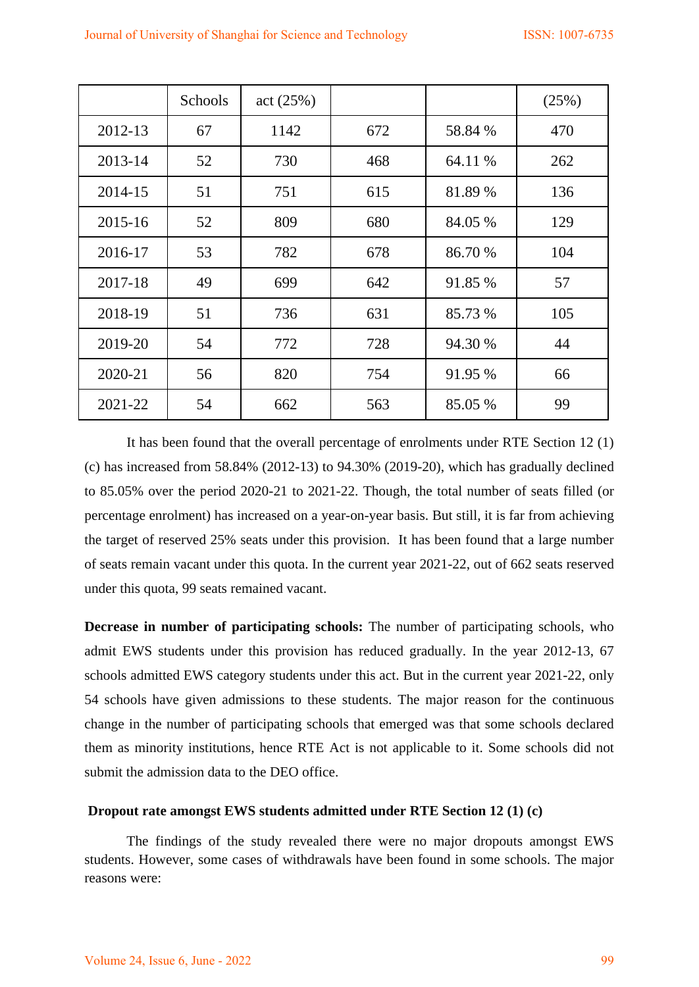|         | Schools | act (25%) |     |         | (25%) |
|---------|---------|-----------|-----|---------|-------|
| 2012-13 | 67      | 1142      | 672 | 58.84 % | 470   |
| 2013-14 | 52      | 730       | 468 | 64.11 % | 262   |
| 2014-15 | 51      | 751       | 615 | 81.89 % | 136   |
| 2015-16 | 52      | 809       | 680 | 84.05 % | 129   |
| 2016-17 | 53      | 782       | 678 | 86.70 % | 104   |
| 2017-18 | 49      | 699       | 642 | 91.85 % | 57    |
| 2018-19 | 51      | 736       | 631 | 85.73 % | 105   |
| 2019-20 | 54      | 772       | 728 | 94.30 % | 44    |
| 2020-21 | 56      | 820       | 754 | 91.95 % | 66    |
| 2021-22 | 54      | 662       | 563 | 85.05 % | 99    |

 It has been found that the overall percentage of enrolments under RTE Section 12 (1) (c) has increased from 58.84% (2012-13) to 94.30% (2019-20), which has gradually declined to 85.05% over the period 2020-21 to 2021-22. Though, the total number of seats filled (or percentage enrolment) has increased on a year-on-year basis. But still, it is far from achieving the target of reserved 25% seats under this provision. It has been found that a large number of seats remain vacant under this quota. In the current year 2021-22, out of 662 seats reserved under this quota, 99 seats remained vacant.

**Decrease in number of participating schools:** The number of participating schools, who admit EWS students under this provision has reduced gradually. In the year 2012-13, 67 schools admitted EWS category students under this act. But in the current year 2021-22, only 54 schools have given admissions to these students. The major reason for the continuous change in the number of participating schools that emerged was that some schools declared them as minority institutions, hence RTE Act is not applicable to it. Some schools did not submit the admission data to the DEO office.

#### **Dropout rate amongst EWS students admitted under RTE Section 12 (1) (c)**

The findings of the study revealed there were no major dropouts amongst EWS students. However, some cases of withdrawals have been found in some schools. The major reasons were: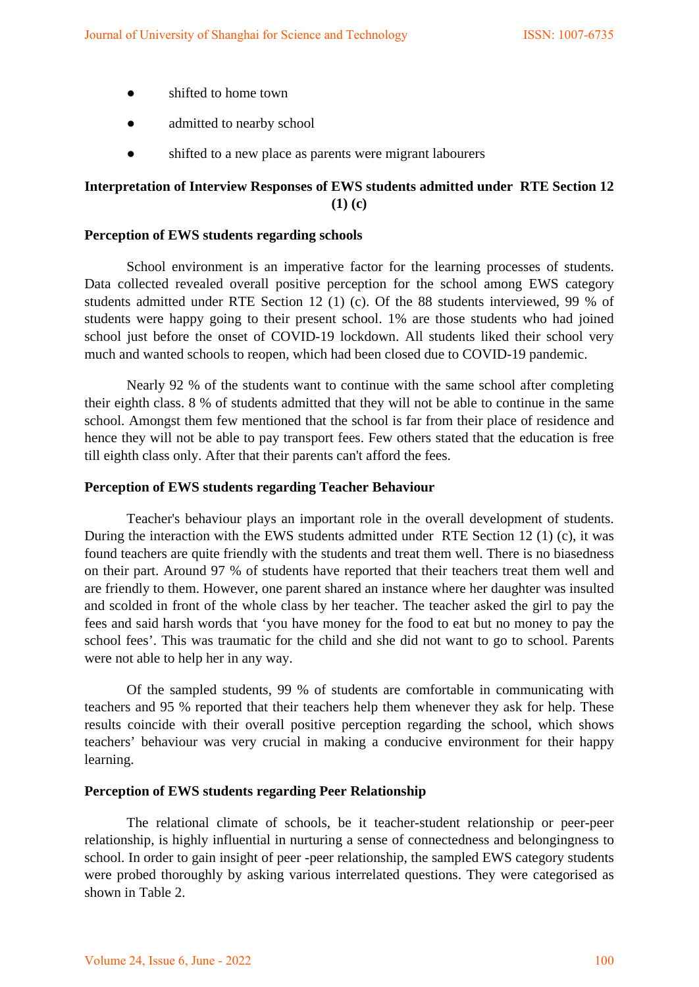- shifted to home town
- admitted to nearby school
- shifted to a new place as parents were migrant labourers

## **Interpretation of Interview Responses of EWS students admitted under RTE Section 12 (1) (c)**

#### **Perception of EWS students regarding schools**

School environment is an imperative factor for the learning processes of students. Data collected revealed overall positive perception for the school among EWS category students admitted under RTE Section 12 (1) (c). Of the 88 students interviewed, 99 % of students were happy going to their present school. 1% are those students who had joined school just before the onset of COVID-19 lockdown. All students liked their school very much and wanted schools to reopen, which had been closed due to COVID-19 pandemic.

Nearly 92 % of the students want to continue with the same school after completing their eighth class. 8 % of students admitted that they will not be able to continue in the same school. Amongst them few mentioned that the school is far from their place of residence and hence they will not be able to pay transport fees. Few others stated that the education is free till eighth class only. After that their parents can't afford the fees.

#### **Perception of EWS students regarding Teacher Behaviour**

Teacher's behaviour plays an important role in the overall development of students. During the interaction with the EWS students admitted under RTE Section 12 (1) (c), it was found teachers are quite friendly with the students and treat them well. There is no biasedness on their part. Around 97 % of students have reported that their teachers treat them well and are friendly to them. However, one parent shared an instance where her daughter was insulted and scolded in front of the whole class by her teacher. The teacher asked the girl to pay the fees and said harsh words that 'you have money for the food to eat but no money to pay the school fees'. This was traumatic for the child and she did not want to go to school. Parents were not able to help her in any way.

Of the sampled students, 99 % of students are comfortable in communicating with teachers and 95 % reported that their teachers help them whenever they ask for help. These results coincide with their overall positive perception regarding the school, which shows teachers' behaviour was very crucial in making a conducive environment for their happy learning.

#### **Perception of EWS students regarding Peer Relationship**

The relational climate of schools, be it teacher-student relationship or peer-peer relationship, is highly influential in nurturing a sense of connectedness and belongingness to school. In order to gain insight of peer -peer relationship, the sampled EWS category students were probed thoroughly by asking various interrelated questions. They were categorised as shown in Table 2.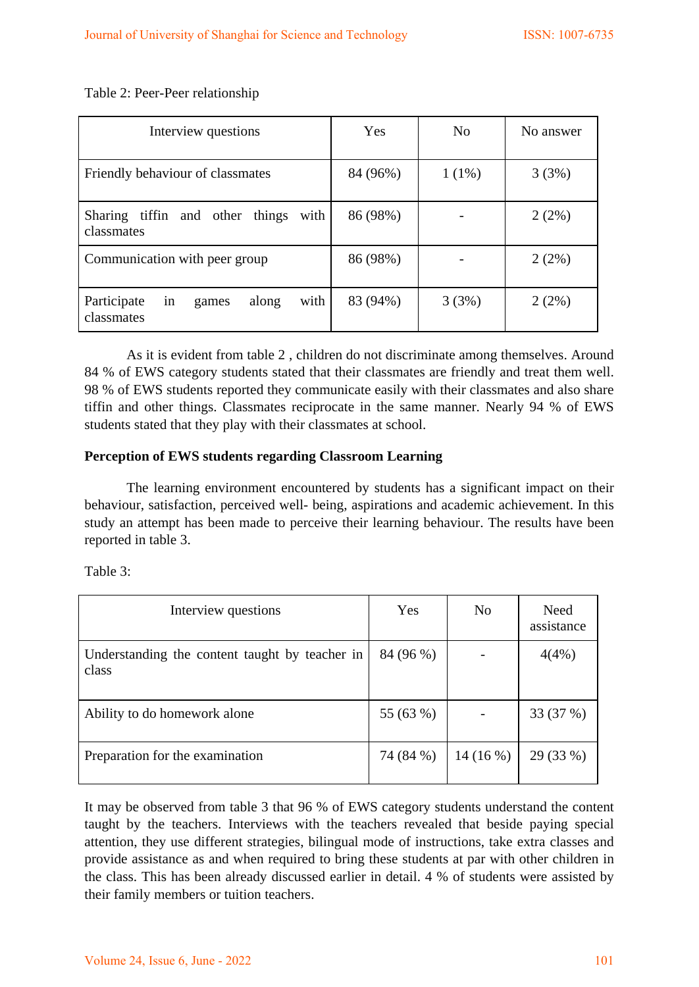Table 2: Peer-Peer relationship

| Interview questions                                       | Yes      | N <sub>0</sub> | No answer |
|-----------------------------------------------------------|----------|----------------|-----------|
| Friendly behaviour of classmates                          | 84 (96%) | $1(1\%)$       | 3(3%)     |
| Sharing tiffin and other things<br>with<br>classmates     | 86 (98%) |                | 2(2%)     |
| Communication with peer group                             | 86 (98%) |                | 2(2%)     |
| with<br>Participate<br>along<br>in<br>games<br>classmates | 83 (94%) | 3(3%)          | 2(2%)     |

As it is evident from table 2 , children do not discriminate among themselves. Around 84 % of EWS category students stated that their classmates are friendly and treat them well. 98 % of EWS students reported they communicate easily with their classmates and also share tiffin and other things. Classmates reciprocate in the same manner. Nearly 94 % of EWS students stated that they play with their classmates at school.

#### **Perception of EWS students regarding Classroom Learning**

The learning environment encountered by students has a significant impact on their behaviour, satisfaction, perceived well- being, aspirations and academic achievement. In this study an attempt has been made to perceive their learning behaviour. The results have been reported in table 3.

Table 3:

| Interview questions                                     | Yes       | N <sub>0</sub> | Need<br>assistance |
|---------------------------------------------------------|-----------|----------------|--------------------|
| Understanding the content taught by teacher in<br>class | 84 (96 %) |                | 4(4%)              |
| Ability to do homework alone                            | 55 (63 %) |                | 33 (37 %)          |
| Preparation for the examination                         | 74 (84 %) | 14(16%)        | 29 (33 %)          |

It may be observed from table 3 that 96 % of EWS category students understand the content taught by the teachers. Interviews with the teachers revealed that beside paying special attention, they use different strategies, bilingual mode of instructions, take extra classes and provide assistance as and when required to bring these students at par with other children in the class. This has been already discussed earlier in detail. 4 % of students were assisted by their family members or tuition teachers.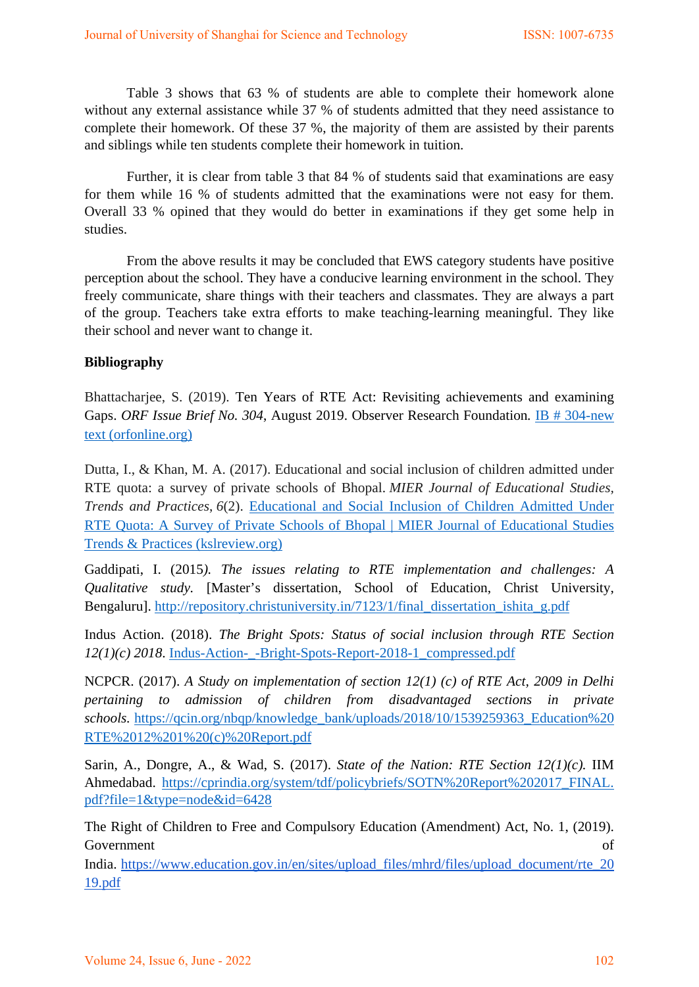Table 3 shows that 63 % of students are able to complete their homework alone without any external assistance while 37 % of students admitted that they need assistance to complete their homework. Of these 37 %, the majority of them are assisted by their parents and siblings while ten students complete their homework in tuition.

 Further, it is clear from table 3 that 84 % of students said that examinations are easy for them while 16 % of students admitted that the examinations were not easy for them. Overall 33 % opined that they would do better in examinations if they get some help in studies.

 From the above results it may be concluded that EWS category students have positive perception about the school. They have a conducive learning environment in the school. They freely communicate, share things with their teachers and classmates. They are always a part of the group. Teachers take extra efforts to make teaching-learning meaningful. They like their school and never want to change it.

### **Bibliography**

Bhattacharjee, S. (2019). Ten Years of RTE Act: Revisiting achievements and examining Gaps. *ORF Issue Brief No. 304*, August 2019. Observer Research Foundation*.* [IB # 304-new](https://www.orfonline.org/wp-content/uploads/2019/08/ORF_IssueBrief_304_RTE-Act.pdf)  [text \(orfonline.org\)](https://www.orfonline.org/wp-content/uploads/2019/08/ORF_IssueBrief_304_RTE-Act.pdf)

Dutta, I., & Khan, M. A. (2017). Educational and social inclusion of children admitted under RTE quota: a survey of private schools of Bhopal. *MIER Journal of Educational Studies, Trends and Practices*, *6*(2). [Educational and Social Inclusion of Children Admitted Under](http://kslreview.org/index.php/mjestp/article/view/1432)  [RTE Quota: A Survey of Private Schools of Bhopal | MIER Journal of Educational Studies](http://kslreview.org/index.php/mjestp/article/view/1432)  [Trends & Practices \(kslreview.org\)](http://kslreview.org/index.php/mjestp/article/view/1432)

Gaddipati, I. (2015*). The issues relating to RTE implementation and challenges: A Qualitative study.* [Master's dissertation, School of Education, Christ University, Bengaluru]. [http://repository.christuniversity.in/7123/1/final\\_dissertation\\_ishita\\_g.pdf](http://repository.christuniversity.in/7123/1/final_dissertation_ishita_g.pdf)

Indus Action. (2018). *The Bright Spots: Status of social inclusion through RTE Section 12(1)(c) 2018*. [Indus-Action-\\_-Bright-Spots-Report-2018-1\\_compressed.pdf](https://www.indusaction.org/wp-content/uploads/2019/08/Indus-Action-_-Bright-Spots-Report-2018-1_compressed.pdf)

NCPCR. (2017). *A Study on implementation of section 12(1) (c) of RTE Act, 2009 in Delhi pertaining to admission of children from disadvantaged sections in private schools.* [https://qcin.org/nbqp/knowledge\\_bank/uploads/2018/10/1539259363\\_Education%20](https://qcin.org/nbqp/knowledge_bank/uploads/2018/10/1539259363_Education%20RTE%2012%201%20(c)%20Report.pdf) [RTE%2012%201%20\(c\)%20Report.pdf](https://qcin.org/nbqp/knowledge_bank/uploads/2018/10/1539259363_Education%20RTE%2012%201%20(c)%20Report.pdf)

Sarin, A., Dongre, A., & Wad, S. (2017). *State of the Nation: RTE Section 12(1)(c).* IIM Ahmedabad. [https://cprindia.org/system/tdf/policybriefs/SOTN%20Report%202017\\_FINAL.](https://cprindia.org/system/tdf/policybriefs/SOTN%20Report%202017_FINAL.pdf?file=1&type=node&id=6428) [pdf?file=1&type=node&id=6428](https://cprindia.org/system/tdf/policybriefs/SOTN%20Report%202017_FINAL.pdf?file=1&type=node&id=6428)

The Right of Children to Free and Compulsory Education (Amendment) Act, No. 1, (2019). Government of the contract of the contract of the contract of the contract of the contract of the contract of the contract of the contract of the contract of the contract of the contract of the contract of the contract of

India[.](https://www.education.gov.in/en/sites/upload_files/mhrd/files/upload_document/rte_2019.pdf) [https://www.education.gov.in/en/sites/upload\\_files/mhrd/files/upload\\_document/rte\\_20](https://www.education.gov.in/en/sites/upload_files/mhrd/files/upload_document/rte_2019.pdf) [19.pdf](https://www.education.gov.in/en/sites/upload_files/mhrd/files/upload_document/rte_2019.pdf)